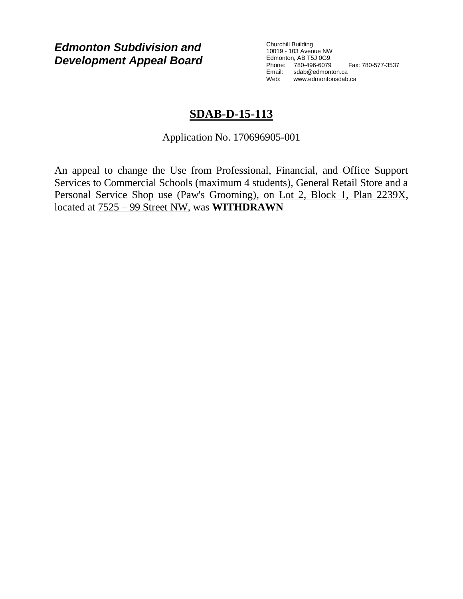*Edmonton Subdivision and Development Appeal Board* Churchill Building 10019 - 103 Avenue NW Edmonton, AB T5J 0G9 Phone: 780-496-6079 Fax: 780-577-3537 Email: sdab@edmonton.ca Web: www.edmontonsdab.ca

## **SDAB-D-15-113**

Application No. 170696905-001

An appeal to change the Use from Professional, Financial, and Office Support Services to Commercial Schools (maximum 4 students), General Retail Store and a Personal Service Shop use (Paw's Grooming), on Lot 2, Block 1, Plan 2239X, located at 7525 – 99 Street NW, was **WITHDRAWN**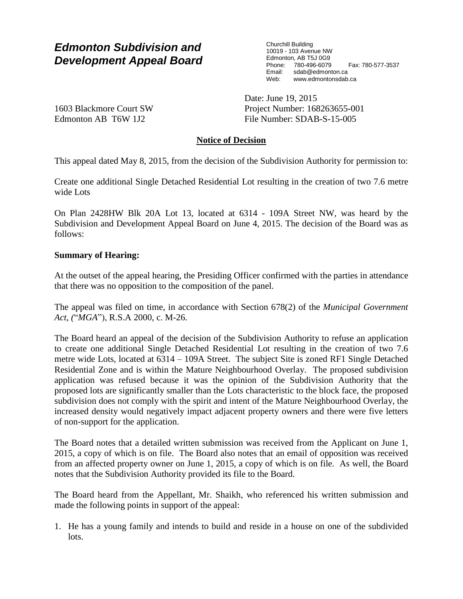# *Edmonton Subdivision and Development Appeal Board*

Churchill Building 10019 - 103 Avenue NW Edmonton, AB T5J 0G9 Phone: 780-496-6079 Fax: 780-577-3537 Email: sdab@edmonton.ca Web: www.edmontonsdab.ca

1603 Blackmore Court SW Edmonton AB T6W 1J2

Date: June 19, 2015 Project Number: 168263655-001 File Number: SDAB-S-15-005

### **Notice of Decision**

This appeal dated May 8, 2015, from the decision of the Subdivision Authority for permission to:

Create one additional Single Detached Residential Lot resulting in the creation of two 7.6 metre wide Lots

On Plan 2428HW Blk 20A Lot 13, located at 6314 - 109A Street NW, was heard by the Subdivision and Development Appeal Board on June 4, 2015. The decision of the Board was as follows:

#### **Summary of Hearing:**

At the outset of the appeal hearing, the Presiding Officer confirmed with the parties in attendance that there was no opposition to the composition of the panel.

The appeal was filed on time, in accordance with Section 678(2) of the *Municipal Government Act*, *(*"*MGA*"), R.S.A 2000, c. M-26.

The Board heard an appeal of the decision of the Subdivision Authority to refuse an application to create one additional Single Detached Residential Lot resulting in the creation of two 7.6 metre wide Lots, located at 6314 – 109A Street. The subject Site is zoned RF1 Single Detached Residential Zone and is within the Mature Neighbourhood Overlay. The proposed subdivision application was refused because it was the opinion of the Subdivision Authority that the proposed lots are significantly smaller than the Lots characteristic to the block face, the proposed subdivision does not comply with the spirit and intent of the Mature Neighbourhood Overlay, the increased density would negatively impact adjacent property owners and there were five letters of non-support for the application.

The Board notes that a detailed written submission was received from the Applicant on June 1, 2015, a copy of which is on file. The Board also notes that an email of opposition was received from an affected property owner on June 1, 2015, a copy of which is on file. As well, the Board notes that the Subdivision Authority provided its file to the Board.

The Board heard from the Appellant, Mr. Shaikh, who referenced his written submission and made the following points in support of the appeal:

1. He has a young family and intends to build and reside in a house on one of the subdivided lots.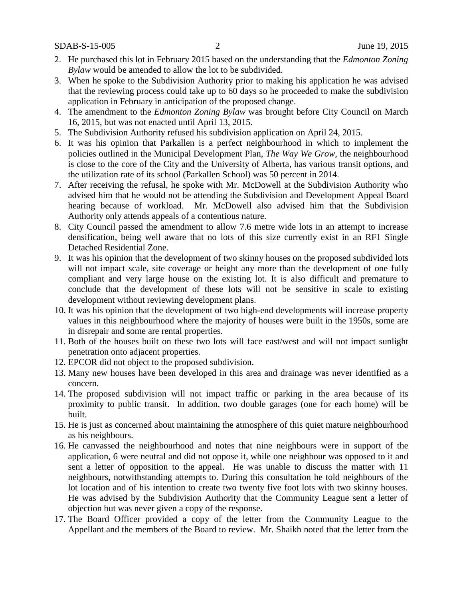SDAB-S-15-005 2 June 19, 2015

- 2. He purchased this lot in February 2015 based on the understanding that the *Edmonton Zoning Bylaw* would be amended to allow the lot to be subdivided.
- 3. When he spoke to the Subdivision Authority prior to making his application he was advised that the reviewing process could take up to 60 days so he proceeded to make the subdivision application in February in anticipation of the proposed change.
- 4. The amendment to the *Edmonton Zoning Bylaw* was brought before City Council on March 16, 2015, but was not enacted until April 13, 2015.
- 5. The Subdivision Authority refused his subdivision application on April 24, 2015.
- 6. It was his opinion that Parkallen is a perfect neighbourhood in which to implement the policies outlined in the Municipal Development Plan, *The Way We Grow*, the neighbourhood is close to the core of the City and the University of Alberta, has various transit options, and the utilization rate of its school (Parkallen School) was 50 percent in 2014.
- 7. After receiving the refusal, he spoke with Mr. McDowell at the Subdivision Authority who advised him that he would not be attending the Subdivision and Development Appeal Board hearing because of workload. Mr. McDowell also advised him that the Subdivision Authority only attends appeals of a contentious nature.
- 8. City Council passed the amendment to allow 7.6 metre wide lots in an attempt to increase densification, being well aware that no lots of this size currently exist in an RF1 Single Detached Residential Zone.
- 9. It was his opinion that the development of two skinny houses on the proposed subdivided lots will not impact scale, site coverage or height any more than the development of one fully compliant and very large house on the existing lot. It is also difficult and premature to conclude that the development of these lots will not be sensitive in scale to existing development without reviewing development plans.
- 10. It was his opinion that the development of two high-end developments will increase property values in this neighbourhood where the majority of houses were built in the 1950s, some are in disrepair and some are rental properties.
- 11. Both of the houses built on these two lots will face east/west and will not impact sunlight penetration onto adjacent properties.
- 12. EPCOR did not object to the proposed subdivision.
- 13. Many new houses have been developed in this area and drainage was never identified as a concern.
- 14. The proposed subdivision will not impact traffic or parking in the area because of its proximity to public transit. In addition, two double garages (one for each home) will be built.
- 15. He is just as concerned about maintaining the atmosphere of this quiet mature neighbourhood as his neighbours.
- 16. He canvassed the neighbourhood and notes that nine neighbours were in support of the application, 6 were neutral and did not oppose it, while one neighbour was opposed to it and sent a letter of opposition to the appeal. He was unable to discuss the matter with 11 neighbours, notwithstanding attempts to. During this consultation he told neighbours of the lot location and of his intention to create two twenty five foot lots with two skinny houses. He was advised by the Subdivision Authority that the Community League sent a letter of objection but was never given a copy of the response.
- 17. The Board Officer provided a copy of the letter from the Community League to the Appellant and the members of the Board to review. Mr. Shaikh noted that the letter from the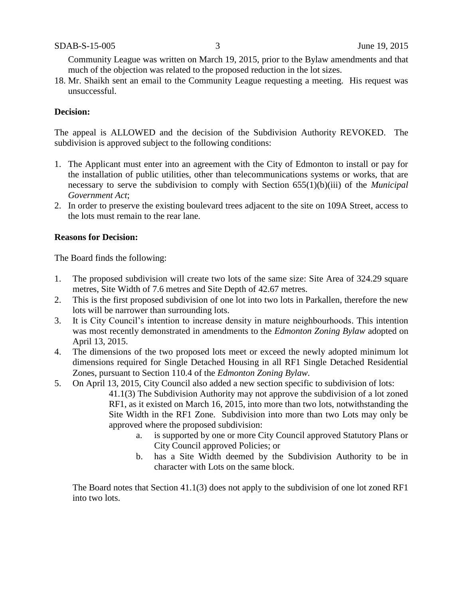Community League was written on March 19, 2015, prior to the Bylaw amendments and that much of the objection was related to the proposed reduction in the lot sizes.

18. Mr. Shaikh sent an email to the Community League requesting a meeting. His request was unsuccessful.

#### **Decision:**

The appeal is ALLOWED and the decision of the Subdivision Authority REVOKED. The subdivision is approved subject to the following conditions:

- 1. The Applicant must enter into an agreement with the City of Edmonton to install or pay for the installation of public utilities, other than telecommunications systems or works, that are necessary to serve the subdivision to comply with Section 655(1)(b)(iii) of the *Municipal Government Act*;
- 2. In order to preserve the existing boulevard trees adjacent to the site on 109A Street, access to the lots must remain to the rear lane.

#### **Reasons for Decision:**

The Board finds the following:

- 1. The proposed subdivision will create two lots of the same size: Site Area of 324.29 square metres, Site Width of 7.6 metres and Site Depth of 42.67 metres.
- 2. This is the first proposed subdivision of one lot into two lots in Parkallen, therefore the new lots will be narrower than surrounding lots.
- 3. It is City Council's intention to increase density in mature neighbourhoods. This intention was most recently demonstrated in amendments to the *Edmonton Zoning Bylaw* adopted on April 13, 2015.
- 4. The dimensions of the two proposed lots meet or exceed the newly adopted minimum lot dimensions required for Single Detached Housing in all RF1 Single Detached Residential Zones, pursuant to Section 110.4 of the *Edmonton Zoning Bylaw.*
- 5. On April 13, 2015, City Council also added a new section specific to subdivision of lots: 41.1(3) The Subdivision Authority may not approve the subdivision of a lot zoned RF1, as it existed on March 16, 2015, into more than two lots, notwithstanding the Site Width in the RF1 Zone. Subdivision into more than two Lots may only be approved where the proposed subdivision:
	- a. is supported by one or more City Council approved Statutory Plans or City Council approved Policies; or
	- b. has a Site Width deemed by the Subdivision Authority to be in character with Lots on the same block.

The Board notes that Section 41.1(3) does not apply to the subdivision of one lot zoned RF1 into two lots.